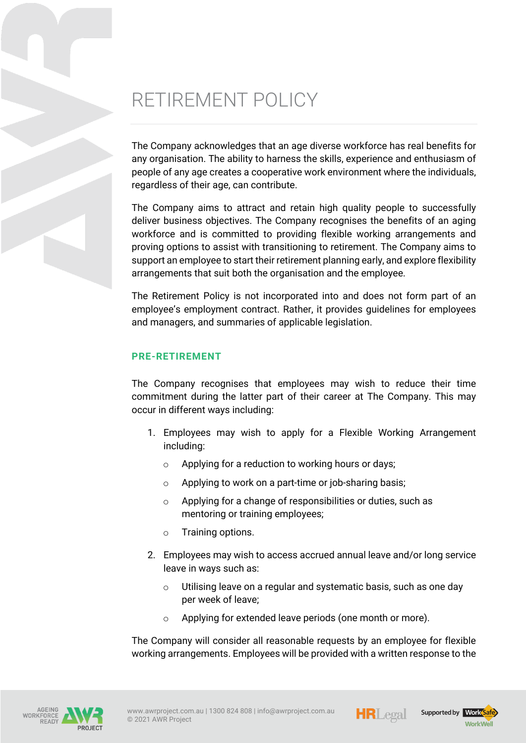# RETIREMENT POLICY

The Company acknowledges that an age diverse workforce has real benefits for any organisation. The ability to harness the skills, experience and enthusiasm of people of any age creates a cooperative work environment where the individuals, regardless of their age, can contribute.

The Company aims to attract and retain high quality people to successfully deliver business objectives. The Company recognises the benefits of an aging workforce and is committed to providing flexible working arrangements and proving options to assist with transitioning to retirement. The Company aims to support an employee to start their retirement planning early, and explore flexibility arrangements that suit both the organisation and the employee.

The Retirement Policy is not incorporated into and does not form part of an employee's employment contract. Rather, it provides guidelines for employees and managers, and summaries of applicable legislation.

## **PRE-RETIREMENT**

The Company recognises that employees may wish to reduce their time commitment during the latter part of their career at The Company. This may occur in different ways including:

- 1. Employees may wish to apply for a Flexible Working Arrangement including:
	- o Applying for a reduction to working hours or days;
	- o Applying to work on a part-time or job-sharing basis;
	- o Applying for a change of responsibilities or duties, such as mentoring or training employees;
	- o Training options.
- 2. Employees may wish to access accrued annual leave and/or long service leave in ways such as:
	- $\circ$  Utilising leave on a regular and systematic basis, such as one day per week of leave;
	- o Applying for extended leave periods (one month or more).

The Company will consider all reasonable requests by an employee for flexible working arrangements. Employees will be provided with a written response to the







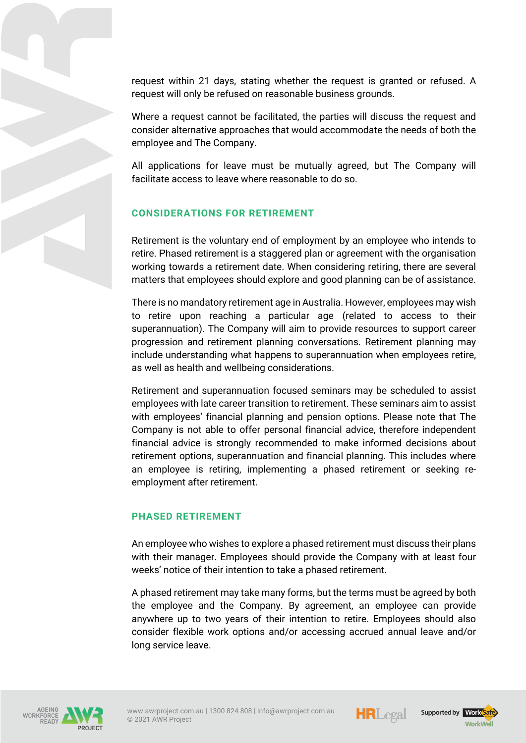request within 21 days, stating whether the request is granted or refused. A request will only be refused on reasonable business grounds.

Where a request cannot be facilitated, the parties will discuss the request and consider alternative approaches that would accommodate the needs of both the employee and The Company.

All applications for leave must be mutually agreed, but The Company will facilitate access to leave where reasonable to do so.

# **CONSIDERATIONS FOR RETIREMENT**

Retirement is the voluntary end of employment by an employee who intends to retire. Phased retirement is a staggered plan or agreement with the organisation working towards a retirement date. When considering retiring, there are several matters that employees should explore and good planning can be of assistance.

There is no mandatory retirement age in Australia. However, employees may wish to retire upon reaching a particular age (related to access to their superannuation). The Company will aim to provide resources to support career progression and retirement planning conversations. Retirement planning may include understanding what happens to superannuation when employees retire, as well as health and wellbeing considerations.

Retirement and superannuation focused seminars may be scheduled to assist employees with late career transition to retirement. These seminars aim to assist with employees' financial planning and pension options. Please note that The Company is not able to offer personal financial advice, therefore independent financial advice is strongly recommended to make informed decisions about retirement options, superannuation and financial planning. This includes where an employee is retiring, implementing a phased retirement or seeking reemployment after retirement.

#### **PHASED RETIREMENT**

An employee who wishes to explore a phased retirement must discuss their plans with their manager. Employees should provide the Company with at least four weeks' notice of their intention to take a phased retirement.

A phased retirement may take many forms, but the terms must be agreed by both the employee and the Company. By agreement, an employee can provide anywhere up to two years of their intention to retire. Employees should also consider flexible work options and/or accessing accrued annual leave and/or long service leave.